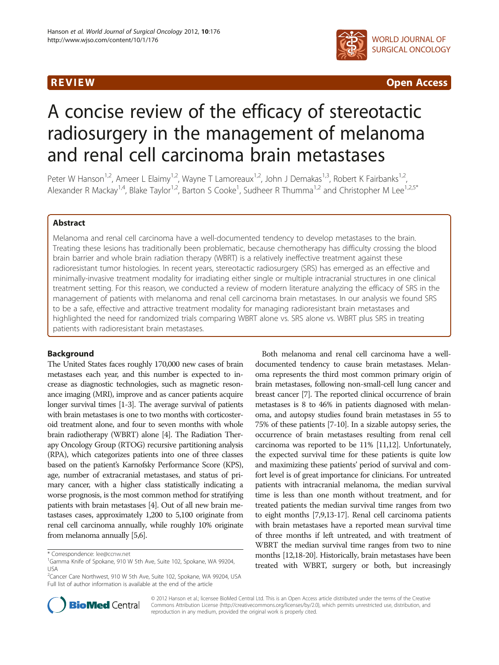

R EVI EW Open Access

# A concise review of the efficacy of stereotactic radiosurgery in the management of melanoma and renal cell carcinoma brain metastases

Peter W Hanson<sup>1,2</sup>, Ameer L Elaimy<sup>1,2</sup>, Wayne T Lamoreaux<sup>1,2</sup>, John J Demakas<sup>1,3</sup>, Robert K Fairbanks<sup>1,2</sup> Alexander R Mackay<sup>1,4</sup>, Blake Taylor<sup>1,2</sup>, Barton S Cooke<sup>1</sup>, Sudheer R Thumma<sup>1,2</sup> and Christopher M Lee<sup>1,2,5\*</sup>

## Abstract

Melanoma and renal cell carcinoma have a well-documented tendency to develop metastases to the brain. Treating these lesions has traditionally been problematic, because chemotherapy has difficulty crossing the blood brain barrier and whole brain radiation therapy (WBRT) is a relatively ineffective treatment against these radioresistant tumor histologies. In recent years, stereotactic radiosurgery (SRS) has emerged as an effective and minimally-invasive treatment modality for irradiating either single or multiple intracranial structures in one clinical treatment setting. For this reason, we conducted a review of modern literature analyzing the efficacy of SRS in the management of patients with melanoma and renal cell carcinoma brain metastases. In our analysis we found SRS to be a safe, effective and attractive treatment modality for managing radioresistant brain metastases and highlighted the need for randomized trials comparing WBRT alone vs. SRS alone vs. WBRT plus SRS in treating patients with radioresistant brain metastases.

# **Background**

The United States faces roughly 170,000 new cases of brain metastases each year, and this number is expected to increase as diagnostic technologies, such as magnetic resonance imaging (MRI), improve and as cancer patients acquire longer survival times [[1](#page-2-0)-[3](#page-2-0)]. The average survival of patients with brain metastases is one to two months with corticosteroid treatment alone, and four to seven months with whole brain radiotherapy (WBRT) alone [\[4\]](#page-2-0). The Radiation Therapy Oncology Group (RTOG) recursive partitioning analysis (RPA), which categorizes patients into one of three classes based on the patient's Karnofsky Performance Score (KPS), age, number of extracranial metastases, and status of primary cancer, with a higher class statistically indicating a worse prognosis, is the most common method for stratifying patients with brain metastases [\[4\]](#page-2-0). Out of all new brain metastases cases, approximately 1,200 to 5,100 originate from renal cell carcinoma annually, while roughly 10% originate from melanoma annually [\[5,6\]](#page-2-0).

Both melanoma and renal cell carcinoma have a welldocumented tendency to cause brain metastases. Melanoma represents the third most common primary origin of brain metastases, following non-small-cell lung cancer and breast cancer [\[7\]](#page-2-0). The reported clinical occurrence of brain metastases is 8 to 46% in patients diagnosed with melanoma, and autopsy studies found brain metastases in 55 to 75% of these patients [\[7-10](#page-2-0)]. In a sizable autopsy series, the occurrence of brain metastases resulting from renal cell carcinoma was reported to be 11% [\[11,12](#page-2-0)]. Unfortunately, the expected survival time for these patients is quite low and maximizing these patients' period of survival and comfort level is of great importance for clinicians. For untreated patients with intracranial melanoma, the median survival time is less than one month without treatment, and for treated patients the median survival time ranges from two to eight months [\[7,9,13-17\]](#page-2-0). Renal cell carcinoma patients with brain metastases have a reported mean survival time of three months if left untreated, and with treatment of WBRT the median survival time ranges from two to nine months [\[12,18](#page-2-0)-[20](#page-2-0)]. Historically, brain metastases have been treated with WBRT, surgery or both, but increasingly



© 2012 Hanson et al.; licensee BioMed Central Ltd. This is an Open Access article distributed under the terms of the Creative Commons Attribution License [\(http://creativecommons.org/licenses/by/2.0\)](http://creativecommons.org/licenses/by/2.0), which permits unrestricted use, distribution, and reproduction in any medium, provided the original work is properly cited.

<sup>\*</sup> Correspondence: [lee@ccnw.net](mailto:lee@ccnw.net) <sup>1</sup>

<sup>&</sup>lt;sup>1</sup>Gamma Knife of Spokane, 910 W 5th Ave, Suite 102, Spokane, WA 99204, USA

<sup>&</sup>lt;sup>2</sup>Cancer Care Northwest, 910 W 5th Ave, Suite 102, Spokane, WA 99204, USA Full list of author information is available at the end of the article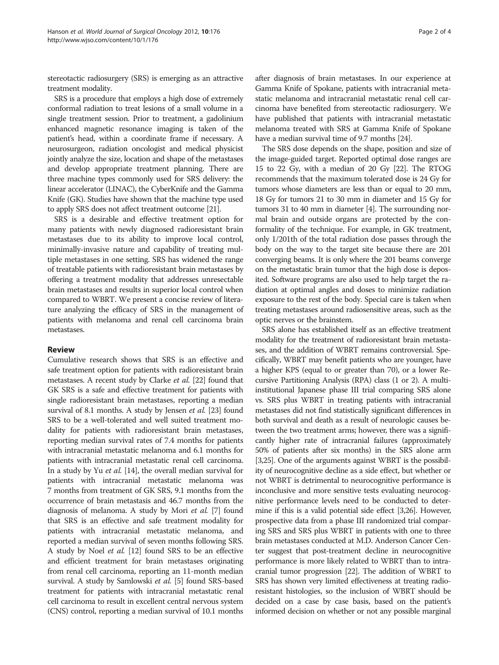stereotactic radiosurgery (SRS) is emerging as an attractive treatment modality.

SRS is a procedure that employs a high dose of extremely conformal radiation to treat lesions of a small volume in a single treatment session. Prior to treatment, a gadolinium enhanced magnetic resonance imaging is taken of the patient's head, within a coordinate frame if necessary. A neurosurgeon, radiation oncologist and medical physicist jointly analyze the size, location and shape of the metastases and develop appropriate treatment planning. There are three machine types commonly used for SRS delivery: the linear accelerator (LINAC), the CyberKnife and the Gamma Knife (GK). Studies have shown that the machine type used to apply SRS does not affect treatment outcome [[21](#page-2-0)].

SRS is a desirable and effective treatment option for many patients with newly diagnosed radioresistant brain metastases due to its ability to improve local control, minimally-invasive nature and capability of treating multiple metastases in one setting. SRS has widened the range of treatable patients with radioresistant brain metastases by offering a treatment modality that addresses unresectable brain metastases and results in superior local control when compared to WBRT. We present a concise review of literature analyzing the efficacy of SRS in the management of patients with melanoma and renal cell carcinoma brain metastases.

# Review

Cumulative research shows that SRS is an effective and safe treatment option for patients with radioresistant brain metastases. A recent study by Clarke et al. [\[22\]](#page-2-0) found that GK SRS is a safe and effective treatment for patients with single radioresistant brain metastases, reporting a median survival of 8.1 months. A study by Jensen et al. [[23](#page-2-0)] found SRS to be a well-tolerated and well suited treatment modality for patients with radioresistant brain metastases, reporting median survival rates of 7.4 months for patients with intracranial metastatic melanoma and 6.1 months for patients with intracranial metastatic renal cell carcinoma. In a study by Yu et al. [[14](#page-2-0)], the overall median survival for patients with intracranial metastatic melanoma was 7 months from treatment of GK SRS, 9.1 months from the occurrence of brain metastasis and 46.7 months from the diagnosis of melanoma. A study by Mori et al. [[7](#page-2-0)] found that SRS is an effective and safe treatment modality for patients with intracranial metastatic melanoma, and reported a median survival of seven months following SRS. A study by Noel et al. [\[12\]](#page-2-0) found SRS to be an effective and efficient treatment for brain metastases originating from renal cell carcinoma, reporting an 11-month median survival. A study by Samlowski et al. [\[5\]](#page-2-0) found SRS-based treatment for patients with intracranial metastatic renal cell carcinoma to result in excellent central nervous system (CNS) control, reporting a median survival of 10.1 months

after diagnosis of brain metastases. In our experience at Gamma Knife of Spokane, patients with intracranial metastatic melanoma and intracranial metastatic renal cell carcinoma have benefited from stereotactic radiosurgery. We have published that patients with intracranial metastatic melanoma treated with SRS at Gamma Knife of Spokane have a median survival time of 9.7 months [[24](#page-2-0)].

The SRS dose depends on the shape, position and size of the image-guided target. Reported optimal dose ranges are 15 to 22 Gy, with a median of 20 Gy [[22](#page-2-0)]. The RTOG recommends that the maximum tolerated dose is 24 Gy for tumors whose diameters are less than or equal to 20 mm, 18 Gy for tumors 21 to 30 mm in diameter and 15 Gy for tumors 31 to 40 mm in diameter [\[4\]](#page-2-0). The surrounding normal brain and outside organs are protected by the conformality of the technique. For example, in GK treatment, only 1/201th of the total radiation dose passes through the body on the way to the target site because there are 201 converging beams. It is only where the 201 beams converge on the metastatic brain tumor that the high dose is deposited. Software programs are also used to help target the radiation at optimal angles and doses to minimize radiation exposure to the rest of the body. Special care is taken when treating metastases around radiosensitive areas, such as the optic nerves or the brainstem.

SRS alone has established itself as an effective treatment modality for the treatment of radioresistant brain metastases, and the addition of WBRT remains controversial. Specifically, WBRT may benefit patients who are younger, have a higher KPS (equal to or greater than 70), or a lower Recursive Partitioning Analysis (RPA) class (1 or 2). A multiinstitutional Japanese phase III trial comparing SRS alone vs. SRS plus WBRT in treating patients with intracranial metastases did not find statistically significant differences in both survival and death as a result of neurologic causes between the two treatment arms; however, there was a significantly higher rate of intracranial failures (approximately 50% of patients after six months) in the SRS alone arm [[3](#page-2-0)[,25\]](#page-3-0). One of the arguments against WBRT is the possibility of neurocognitive decline as a side effect, but whether or not WBRT is detrimental to neurocognitive performance is inconclusive and more sensitive tests evaluating neurocognitive performance levels need to be conducted to determine if this is a valid potential side effect [\[3](#page-2-0)[,26](#page-3-0)]. However, prospective data from a phase III randomized trial comparing SRS and SRS plus WBRT in patients with one to three brain metastases conducted at M.D. Anderson Cancer Center suggest that post-treatment decline in neurocognitive performance is more likely related to WBRT than to intracranial tumor progression [[22](#page-2-0)]. The addition of WBRT to SRS has shown very limited effectiveness at treating radioresistant histologies, so the inclusion of WBRT should be decided on a case by case basis, based on the patient's informed decision on whether or not any possible marginal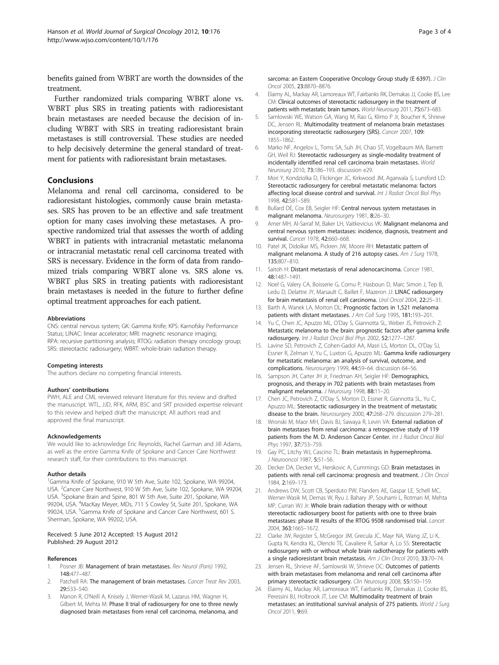<span id="page-2-0"></span>benefits gained from WBRT are worth the downsides of the treatment.

Further randomized trials comparing WBRT alone vs. WBRT plus SRS in treating patients with radioresistant brain metastases are needed because the decision of including WBRT with SRS in treating radioresistant brain metastases is still controversial. These studies are needed to help decisively determine the general standard of treatment for patients with radioresistant brain metastases.

### Conclusions

Melanoma and renal cell carcinoma, considered to be radioresistant histologies, commonly cause brain metastases. SRS has proven to be an effective and safe treatment option for many cases involving these metastases. A prospective randomized trial that assesses the worth of adding WBRT in patients with intracranial metastatic melanoma or intracranial metastatic renal cell carcinoma treated with SRS is necessary. Evidence in the form of data from randomized trials comparing WBRT alone vs. SRS alone vs. WBRT plus SRS in treating patients with radioresistant brain metastases is needed in the future to further define optimal treatment approaches for each patient.

#### Abbreviations

CNS: central nervous system; GK: Gamma Knife; KPS: Karnofsky Performance Status; LINAC: linear accelerator; MRI: magnetic resonance imaging; RPA: recursive partitioning analysis; RTOG: radiation therapy oncology group; SRS: stereotactic radiosurgery; WBRT: whole-brain radiation therapy.

#### Competing interests

The authors declare no competing financial interests.

#### Authors' contributions

PWH, ALE and CML reviewed relevant literature for this review and drafted the manuscript. WTL, JJD, RFK, ARM, BSC and SRT provided expertise relevant to this review and helped draft the manuscript. All authors read and approved the final manuscript.

#### Acknowledgements

We would like to acknowledge Eric Reynolds, Rachel Garman and Jill Adams, as well as the entire Gamma Knife of Spokane and Cancer Care Northwest research staff, for their contributions to this manuscript.

#### Author details

<sup>1</sup>Gamma Knife of Spokane, 910 W 5th Ave, Suite 102, Spokane, WA 99204, USA. <sup>2</sup> Cancer Care Northwest, 910 W 5th Ave, Suite 102, Spokane, WA 99204, USA. <sup>3</sup>Spokane Brain and Spine, 801 W 5th Ave, Suite 201, Spokane, WA 99204, USA. <sup>4</sup>MacKay Meyer, MDs, 711 S Cowley St, Suite 201, Spokane, WA 99024, USA. <sup>5</sup>Gamma Knife of Spokane and Cancer Care Northwest, 601 S. Sherman, Spokane, WA 99202, USA.

#### Received: 5 June 2012 Accepted: 15 August 2012 Published: 29 August 2012

#### References

- Posner JB: Management of brain metastases. Rev Neurol (Paris) 1992, 148:477–487.
- 2. Patchell RA: The management of brain metastases. Cancer Treat Rev 2003, 29:533–540.
- 3. Manon R, O'Neill A, Knisely J, Werner-Wasik M, Lazarus HM, Wagner H, Gilbert M, Mehta M: Phase II trial of radiosurgery for one to three newly diagnosed brain metastases from renal cell carcinoma, melanoma, and

sarcoma: an Eastern Cooperative Oncology Group study (E 6397). J Clin Oncol 2005, 23:8870–8876.

- 4. Elaimy AL, Mackay AR, Lamoreaux WT, Fairbanks RK, Demakas JJ, Cooke BS, Lee CM: Clinical outcomes of stereotactic radiosurgery in the treatment of patients with metastatic brain tumors. World Neurosurg 2011, 75:673–683.
- 5. Samlowski WE, Watson GA, Wang M, Rao G, Klimo P Jr, Boucher K, Shrieve DC, Jensen RL: Multimodality treatment of melanoma brain metastases incorporating stereotactic radiosurgery (SRS). Cancer 2007, 109: 1855–1862.
- 6. Marko NF, Angelov L, Toms SA, Suh JH, Chao ST, Vogelbaum MA, Barnett GH, Weil RJ: Stereotactic radiosurgery as single-modality treatment of incidentally identified renal cell carcinoma brain metastases. World Neurosurg 2010, 73:186–193. discussion e29.
- 7. Mori Y, Kondziolka D, Flickinger JC, Kirkwood JM, Agarwala S, Lunsford LD: Stereotactic radiosurgery for cerebral metastatic melanoma: factors affecting local disease control and survival. Int J Radiat Oncol Biol Phys 1998, 42:581–589.
- 8. Bullard DE, Cox EB, Seigler HF: Central nervous system metastases in malignant melanoma. Neurosurgery 1981, 8:26-30.
- 9. Amer MH, Al-Sarraf M, Baker LH, Vaitkevicius VK: Malignant melanoma and central nervous system metastases: incidence, diagnosis, treatment and survival. Cancer 1978, 42:660–668.
- 10. Patel JK, Didolkar MS, Pickren JW, Moore RH: Metastatic pattern of malignant melanoma. A study of 216 autopsy cases. Am J Surg 1978, 135:807–810.
- 11. Saitoh H: Distant metastasis of renal adenocarcinoma. Cancer 1981, 48:1487–1491.
- 12. Noel G, Valery CA, Boisserie G, Cornu P, Hasboun D, Marc Simon J, Tep B, Ledu D, Delattre JY, Marsault C, Baillet F, Mazeron JJ: LINAC radiosurgery for brain metastasis of renal cell carcinoma. Urol Oncol 2004, 22:25–31.
- 13. Barth A, Wanek LA, Morton DL: Prognostic factors in 1,521 melanoma patients with distant metastases. J Am Coll Surg 1995, 181:193–201.
- 14. Yu C, Chen JC, Apuzzo ML, O'Day S, Giannotta SL, Weber JS, Petrovich Z: Metastatic melanoma to the brain: prognostic factors after gamma knife radiosurgery. Int J Radiat Oncol Biol Phys 2002, 52:1277–1287.
- 15. Lavine SD, Petrovich Z, Cohen-Gadol AA, Masri LS, Morton DL, O'Day SJ, Essner R, Zelman V, Yu C, Luxton G, Apuzzo ML: Gamma knife radiosurgery for metastatic melanoma: an analysis of survival, outcome, and complications. Neurosurgery 1999, 44:59–64. discussion 64–56.
- 16. Sampson JH, Carter JH Jr, Friedman AH, Seigler HF: Demographics, prognosis, and therapy in 702 patients with brain metastases from malignant melanoma. J Neurosurg 1998, 88:11–20.
- 17. Chen JC, Petrovich Z, O'Day S, Morton D, Essner R, Giannotta SL, Yu C, Apuzzo ML: Stereotactic radiosurgery in the treatment of metastatic disease to the brain. Neurosurgery 2000, 47:268–279. discussion 279–281.
- 18. Wronski M, Maor MH, Davis BJ, Sawaya R, Levin VA: External radiation of brain metastases from renal carcinoma: a retrospective study of 119 patients from the M. D. Anderson Cancer Center. Int J Radiat Oncol Biol Phys 1997, 37:753–759.
- 19. Gay PC, Litchy WJ, Cascino TL: Brain metastasis in hypernephroma. J Neurooncol 1987, 5:51-56.
- 20. Decker DA, Decker VL, Herskovic A, Cummings GD: Brain metastases in patients with renal cell carcinoma: prognosis and treatment. J Clin Oncol 1984, 2:169–173.
- 21. Andrews DW, Scott CB, Sperduto PW, Flanders AE, Gaspar LE, Schell MC, Werner-Wasik M, Demas W, Ryu J, Bahary JP, Souhami L, Rotman M, Mehta MP, Curran WJ Jr: Whole brain radiation therapy with or without stereotactic radiosurgery boost for patients with one to three brain metastases: phase III results of the RTOG 9508 randomised trial. Lancet 2004, 363:1665–1672.
- 22. Clarke JW, Register S, McGregor JM, Grecula JC, Mayr NA, Wang JZ, Li K, Gupta N, Kendra KL, Olencki TE, Cavaliere R, Sarkar A, Lo SS: Stereotactic radiosurgery with or without whole brain radiotherapy for patients with a single radioresistant brain metastasis. Am J Clin Oncol 2010, 33:70–74.
- 23. Jensen RL, Shrieve AF, Samlowski W, Shrieve DC: Outcomes of patients with brain metastases from melanoma and renal cell carcinoma after primary stereotactic radiosurgery. Clin Neurosurg 2008, 55:150-159.
- 24. Elaimy AL, Mackay AR, Lamoreaux WT, Fairbanks RK, Demakas JJ, Cooke BS, Peressini BJ, Holbrook JT, Lee CM: Multimodality treatment of brain metastases: an institutional survival analysis of 275 patients. World J Surg Oncol 2011, 9:69.